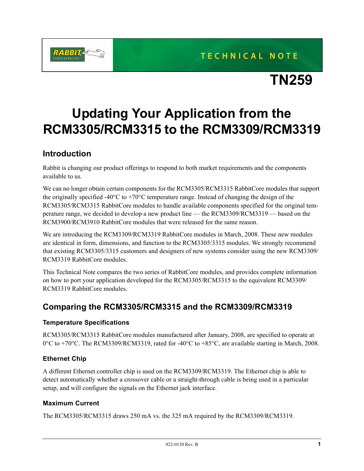**TECHNICAL NOTE** 



# **TN259**

# **Updating Your Application from the RCM3305/RCM3315 to the RCM3309/RCM3319**

## **Introduction**

Rabbit is changing our product offerings to respond to both market requirements and the components available to us.

We can no longer obtain certain components for the RCM3305/RCM3315 RabbitCore modules that support the originally specified -40 $^{\circ}$ C to +70 $^{\circ}$ C temperature range. Instead of changing the design of the RCM3305/RCM3315 RabbitCore modules to handle available components specified for the original temperature range, we decided to develop a new product line — the RCM3309/RCM3319 — based on the RCM3900/RCM3910 RabbitCore modules that were released for the same reason.

We are introducing the RCM3309/RCM3319 RabbitCore modules in March, 2008. These new modules are identical in form, dimensions, and function to the RCM3305/3315 modules. We strongly recommend that existing RCM3305/3315 customers and designers of new systems consider using the new RCM3309/ RCM3319 RabbitCore modules.

This Technical Note compares the two series of RabbitCore modules, and provides complete information on how to port your application developed for the RCM3305/RCM3315 to the equivalent RCM3309/ RCM3319 RabbitCore modules.

## **Comparing the RCM3305/RCM3315 and the RCM3309/RCM3319**

#### **Temperature Specifications**

RCM3305/RCM3315 RabbitCore modules manufactured after January, 2008, are specified to operate at 0°C to +70°C. The RCM3309/RCM3319, rated for -40°C to +85°C, are available starting in March, 2008.

#### **Ethernet Chip**

A different Ethernet controller chip is used on the RCM3309/RCM3319. The Ethernet chip is able to detect automatically whether a crossover cable or a straight-through cable is being used in a particular setup, and will configure the signals on the Ethernet jack interface.

#### **Maximum Current**

The RCM3305/RCM3315 draws 250 mA vs. the 325 mA required by the RCM3309/RCM3319.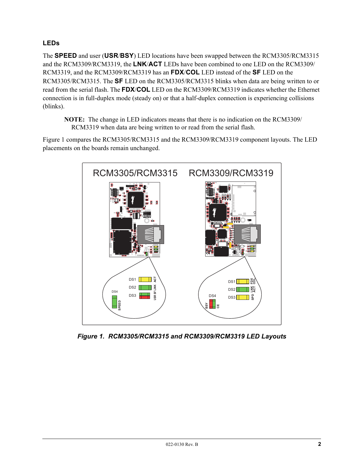### **LEDs**

The **SPEED** and user (**USR**/**BSY**) LED locations have been swapped between the RCM3305/RCM3315 and the RCM3309/RCM3319, the **LNK**/**ACT** LEDs have been combined to one LED on the RCM3309/ RCM3319, and the RCM3309/RCM3319 has an **FDX**/**COL** LED instead of the **SF** LED on the RCM3305/RCM3315. The **SF** LED on the RCM3305/RCM3315 blinks when data are being written to or read from the serial flash. The **FDX**/**COL** LED on the RCM3309/RCM3319 indicates whether the Ethernet connection is in full-duplex mode (steady on) or that a half-duplex connection is experiencing collisions (blinks).

**NOTE:** The change in LED indicators means that there is no indication on the RCM3309/ RCM3319 when data are being written to or read from the serial flash.

[Figure 1](#page-1-0) compares the RCM3305/RCM3315 and the RCM3309/RCM3319 component layouts. The LED placements on the boards remain unchanged.



<span id="page-1-0"></span>*Figure 1. RCM3305/RCM3315 and RCM3309/RCM3319 LED Layouts*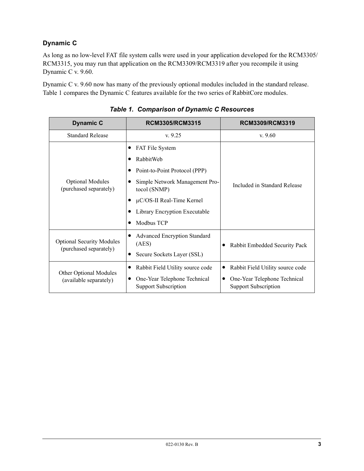### **Dynamic C**

As long as no low-level FAT file system calls were used in your application developed for the RCM3305/ RCM3315, you may run that application on the RCM3309/RCM3319 after you recompile it using Dynamic C v. 9.60.

Dynamic C v. 9.60 now has many of the previously optional modules included in the standard release. [Table 1](#page-2-0) compares the Dynamic C features available for the two series of RabbitCore modules.

<span id="page-2-0"></span>

| <b>Dynamic C</b>                                           | <b>RCM3305/RCM3315</b>                                      | RCM3309/RCM3319                                             |  |
|------------------------------------------------------------|-------------------------------------------------------------|-------------------------------------------------------------|--|
| <b>Standard Release</b>                                    | v.9.25                                                      | v.9.60                                                      |  |
| <b>Optional Modules</b><br>(purchased separately)          | FAT File System                                             | Included in Standard Release                                |  |
|                                                            | RabbitWeb                                                   |                                                             |  |
|                                                            | Point-to-Point Protocol (PPP)                               |                                                             |  |
|                                                            | Simple Network Management Pro-<br>tocol (SNMP)              |                                                             |  |
|                                                            | $\mu$ C/OS-II Real-Time Kernel                              |                                                             |  |
|                                                            | Library Encryption Executable                               |                                                             |  |
|                                                            | Modbus TCP                                                  |                                                             |  |
| <b>Optional Security Modules</b><br>(purchased separately) | <b>Advanced Encryption Standard</b><br>(AES)                | Rabbit Embedded Security Pack                               |  |
|                                                            | Secure Sockets Layer (SSL)                                  |                                                             |  |
| Other Optional Modules<br>(available separately)           | Rabbit Field Utility source code<br>$\bullet$               | Rabbit Field Utility source code                            |  |
|                                                            | One-Year Telephone Technical<br><b>Support Subscription</b> | One-Year Telephone Technical<br><b>Support Subscription</b> |  |

*Table 1. Comparison of Dynamic C Resources*